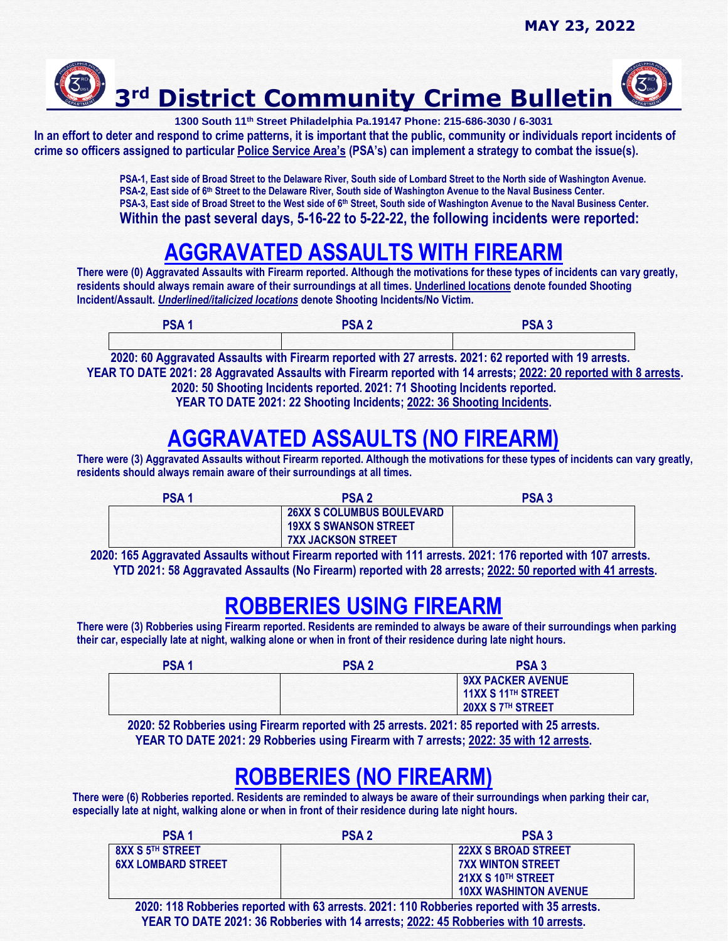

**1300 South 11th Street Philadelphia Pa.19147 Phone: 215-686-3030 / 6-3031**

**In an effort to deter and respond to crime patterns, it is important that the public, community or individuals report incidents of crime so officers assigned to particular Police Service Area's (PSA's) can implement a strategy to combat the issue(s).** 

> **PSA-1, East side of Broad Street to the Delaware River, South side of Lombard Street to the North side of Washington Avenue.** PSA-2, East side of 6<sup>th</sup> Street to the Delaware River, South side of Washington Avenue to the Naval Business Center. **PSA-3, East side of Broad Street to the West side of 6th Street, South side of Washington Avenue to the Naval Business Center. Within the past several days, 5-16-22 to 5-22-22, the following incidents were reported:**

## **AGGRAVATED ASSAULTS WITH FIREARM**

**There were (0) Aggravated Assaults with Firearm reported. Although the motivations for these types of incidents can vary greatly, residents should always remain aware of their surroundings at all times. Underlined locations denote founded Shooting Incident/Assault.** *Underlined/italicized locations* **denote Shooting Incidents/No Victim.** 

| PSA <sub>1</sub> | PSA <sub>2</sub> | PSA <sub>3</sub> |
|------------------|------------------|------------------|
|                  |                  |                  |

 **2020: 60 Aggravated Assaults with Firearm reported with 27 arrests. 2021: 62 reported with 19 arrests. YEAR TO DATE 2021: 28 Aggravated Assaults with Firearm reported with 14 arrests; 2022: 20 reported with 8 arrests. 2020: 50 Shooting Incidents reported. 2021: 71 Shooting Incidents reported. YEAR TO DATE 2021: 22 Shooting Incidents; 2022: 36 Shooting Incidents.**

# **AGGRAVATED ASSAULTS (NO FIREARM)**

**There were (3) Aggravated Assaults without Firearm reported. Although the motivations for these types of incidents can vary greatly, residents should always remain aware of their surroundings at all times.** 

| <b>PSA1</b> | <b>PSA2</b>                      | <b>PSA3</b> |
|-------------|----------------------------------|-------------|
|             | <b>26XX S COLUMBUS BOULEVARD</b> |             |
|             | <b>19XX S SWANSON STREET</b>     |             |
|             | <b>7XX JACKSON STREET</b>        |             |

 **2020: 165 Aggravated Assaults without Firearm reported with 111 arrests. 2021: 176 reported with 107 arrests. YTD 2021: 58 Aggravated Assaults (No Firearm) reported with 28 arrests; 2022: 50 reported with 41 arrests.**

#### **ROBBERIES USING FIREARM**

**There were (3) Robberies using Firearm reported. Residents are reminded to always be aware of their surroundings when parking their car, especially late at night, walking alone or when in front of their residence during late night hours.**

| <b>PSA1</b> | <b>PSA2</b> | <b>PSA3</b>                                                                     |
|-------------|-------------|---------------------------------------------------------------------------------|
|             |             | <b>9XX PACKER AVENUE</b><br>11XX S 11 <sup>TH</sup> STREET<br>20XX S 7TH STREET |

**2020: 52 Robberies using Firearm reported with 25 arrests. 2021: 85 reported with 25 arrests. YEAR TO DATE 2021: 29 Robberies using Firearm with 7 arrests; 2022: 35 with 12 arrests.**

## **ROBBERIES (NO FIREARM)**

**There were (6) Robberies reported. Residents are reminded to always be aware of their surroundings when parking their car, especially late at night, walking alone or when in front of their residence during late night hours.**

| <b>PSA1</b>               | <b>PSA 2</b> | PSA <sub>3</sub>             |
|---------------------------|--------------|------------------------------|
| <b>8XX S 5TH STREET</b>   |              | <b>22XX S BROAD STREET</b>   |
| <b>6XX LOMBARD STREET</b> |              | <b>7XX WINTON STREET</b>     |
|                           |              | 21XX S 10TH STREET           |
|                           |              | <b>10XX WASHINTON AVENUE</b> |

 **2020: 118 Robberies reported with 63 arrests. 2021: 110 Robberies reported with 35 arrests. YEAR TO DATE 2021: 36 Robberies with 14 arrests; 2022: 45 Robberies with 10 arrests.**